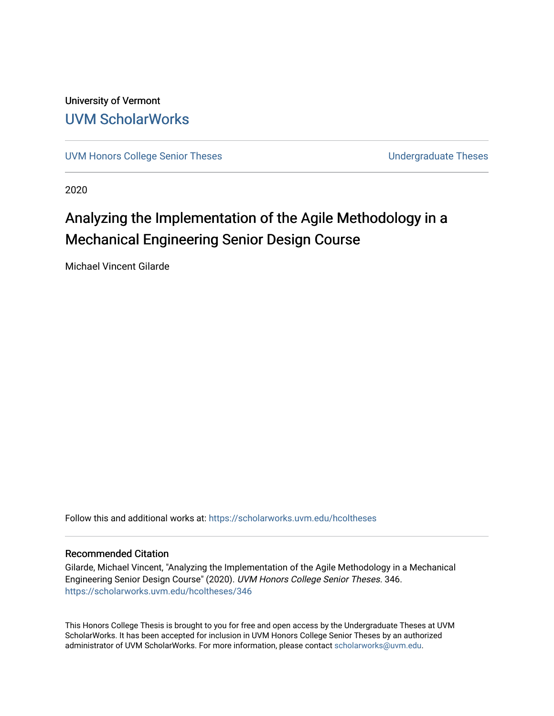University of Vermont [UVM ScholarWorks](https://scholarworks.uvm.edu/)

[UVM Honors College Senior Theses](https://scholarworks.uvm.edu/hcoltheses) **Exercise Sension College Senior Theses** Undergraduate Theses

2020

# Analyzing the Implementation of the Agile Methodology in a Mechanical Engineering Senior Design Course

Michael Vincent Gilarde

Follow this and additional works at: [https://scholarworks.uvm.edu/hcoltheses](https://scholarworks.uvm.edu/hcoltheses?utm_source=scholarworks.uvm.edu%2Fhcoltheses%2F346&utm_medium=PDF&utm_campaign=PDFCoverPages) 

#### Recommended Citation

Gilarde, Michael Vincent, "Analyzing the Implementation of the Agile Methodology in a Mechanical Engineering Senior Design Course" (2020). UVM Honors College Senior Theses. 346. [https://scholarworks.uvm.edu/hcoltheses/346](https://scholarworks.uvm.edu/hcoltheses/346?utm_source=scholarworks.uvm.edu%2Fhcoltheses%2F346&utm_medium=PDF&utm_campaign=PDFCoverPages) 

This Honors College Thesis is brought to you for free and open access by the Undergraduate Theses at UVM ScholarWorks. It has been accepted for inclusion in UVM Honors College Senior Theses by an authorized administrator of UVM ScholarWorks. For more information, please contact [scholarworks@uvm.edu](mailto:scholarworks@uvm.edu).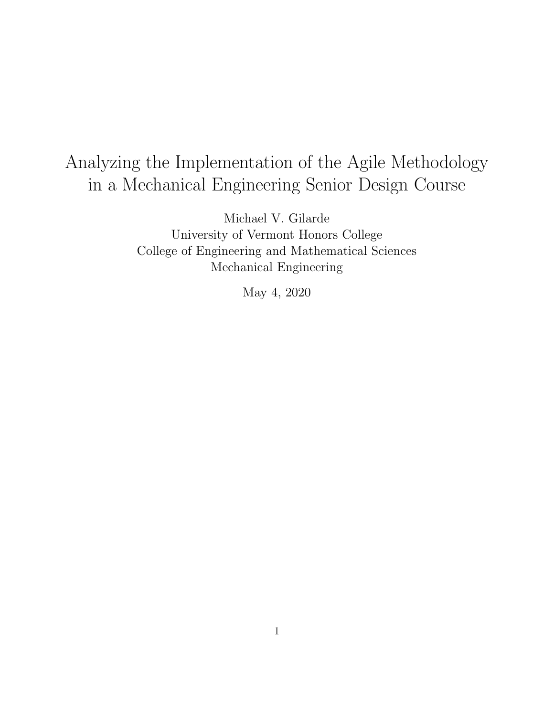# Analyzing the Implementation of the Agile Methodology in a Mechanical Engineering Senior Design Course

Michael V. Gilarde University of Vermont Honors College College of Engineering and Mathematical Sciences Mechanical Engineering

May 4, 2020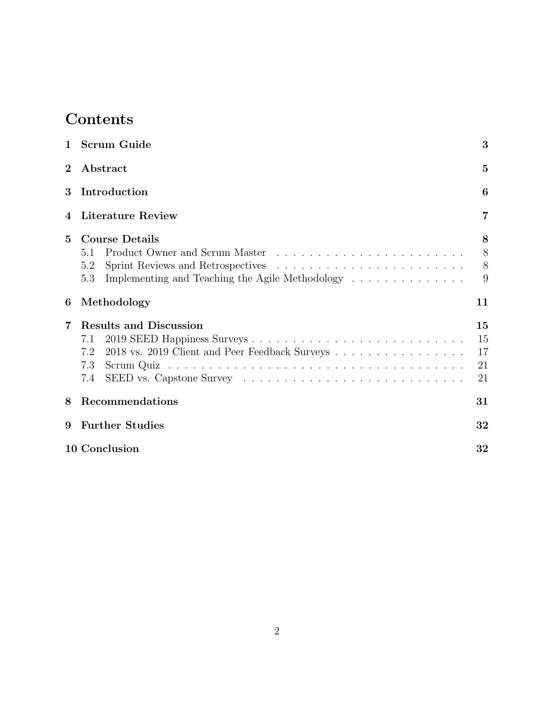# Contents

|                 | 1 Scrum Guide                                                                                                                                                                                               | 3                          |
|-----------------|-------------------------------------------------------------------------------------------------------------------------------------------------------------------------------------------------------------|----------------------------|
| $\bf{2}$        | Abstract                                                                                                                                                                                                    | $\overline{5}$             |
| 3               | Introduction                                                                                                                                                                                                | 6                          |
| 4               | Literature Review                                                                                                                                                                                           | 7                          |
| $5\overline{)}$ | <b>Course Details</b><br>5.1<br>5.2<br>Implementing and Teaching the Agile Methodology<br>5.3                                                                                                               | 8<br>8<br>8<br>9           |
| 6               | Methodology                                                                                                                                                                                                 | 11                         |
| 7               | <b>Results and Discussion</b><br>7.1<br>2018 vs. 2019 Client and Peer Feedback Surveys<br>7.2<br>7.3<br>SEED vs. Capstone Survey $\dots \dots \dots \dots \dots \dots \dots \dots \dots \dots \dots$<br>7.4 | 15<br>15<br>17<br>21<br>21 |
| 8               | Recommendations                                                                                                                                                                                             | 31                         |
| 9               | <b>Further Studies</b>                                                                                                                                                                                      | 32                         |
|                 | 10 Conclusion                                                                                                                                                                                               | 32                         |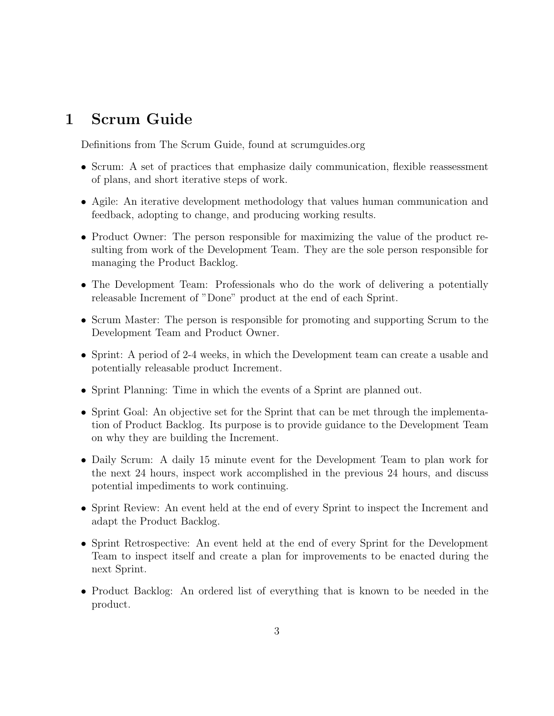## 1 Scrum Guide

Definitions from The Scrum Guide, found at scrumguides.org

- Scrum: A set of practices that emphasize daily communication, flexible reassessment of plans, and short iterative steps of work.
- Agile: An iterative development methodology that values human communication and feedback, adopting to change, and producing working results.
- Product Owner: The person responsible for maximizing the value of the product resulting from work of the Development Team. They are the sole person responsible for managing the Product Backlog.
- The Development Team: Professionals who do the work of delivering a potentially releasable Increment of "Done" product at the end of each Sprint.
- Scrum Master: The person is responsible for promoting and supporting Scrum to the Development Team and Product Owner.
- Sprint: A period of 2-4 weeks, in which the Development team can create a usable and potentially releasable product Increment.
- Sprint Planning: Time in which the events of a Sprint are planned out.
- Sprint Goal: An objective set for the Sprint that can be met through the implementation of Product Backlog. Its purpose is to provide guidance to the Development Team on why they are building the Increment.
- Daily Scrum: A daily 15 minute event for the Development Team to plan work for the next 24 hours, inspect work accomplished in the previous 24 hours, and discuss potential impediments to work continuing.
- Sprint Review: An event held at the end of every Sprint to inspect the Increment and adapt the Product Backlog.
- Sprint Retrospective: An event held at the end of every Sprint for the Development Team to inspect itself and create a plan for improvements to be enacted during the next Sprint.
- Product Backlog: An ordered list of everything that is known to be needed in the product.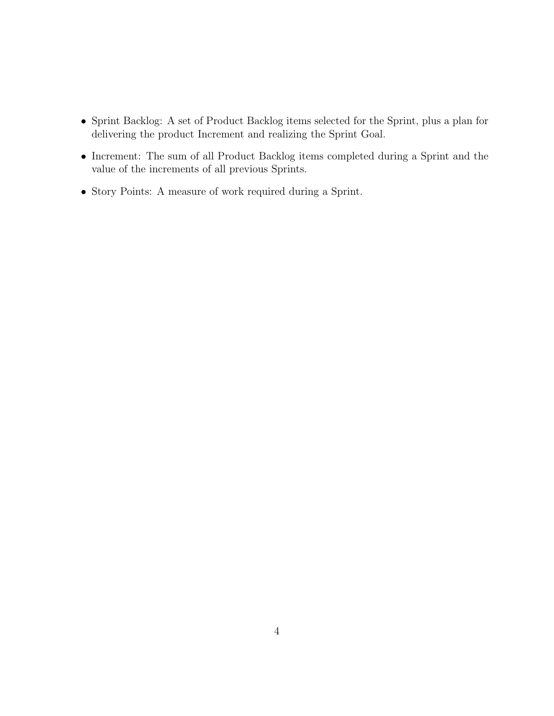- Sprint Backlog: A set of Product Backlog items selected for the Sprint, plus a plan for delivering the product Increment and realizing the Sprint Goal.
- Increment: The sum of all Product Backlog items completed during a Sprint and the value of the increments of all previous Sprints.
- Story Points: A measure of work required during a Sprint.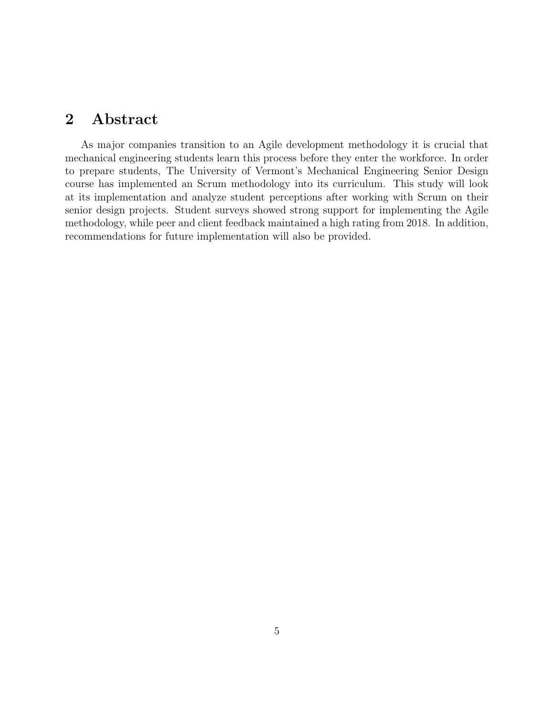### 2 Abstract

As major companies transition to an Agile development methodology it is crucial that mechanical engineering students learn this process before they enter the workforce. In order to prepare students, The University of Vermont's Mechanical Engineering Senior Design course has implemented an Scrum methodology into its curriculum. This study will look at its implementation and analyze student perceptions after working with Scrum on their senior design projects. Student surveys showed strong support for implementing the Agile methodology, while peer and client feedback maintained a high rating from 2018. In addition, recommendations for future implementation will also be provided.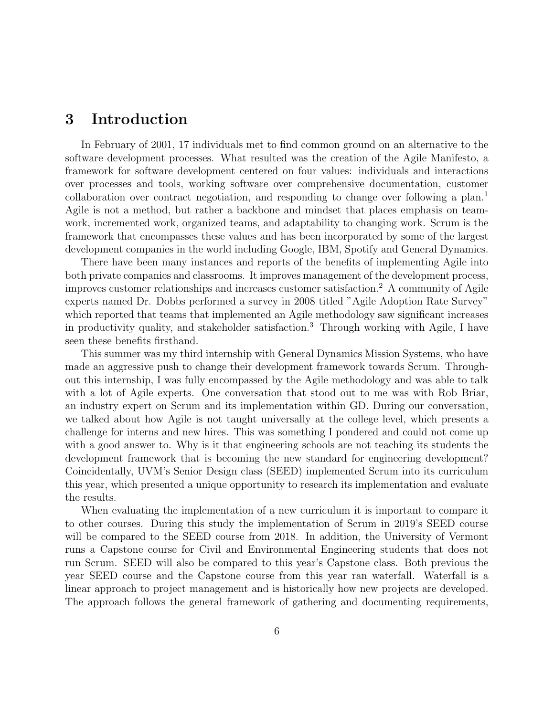### 3 Introduction

In February of 2001, 17 individuals met to find common ground on an alternative to the software development processes. What resulted was the creation of the Agile Manifesto, a framework for software development centered on four values: individuals and interactions over processes and tools, working software over comprehensive documentation, customer collaboration over contract negotiation, and responding to change over following a plan.<sup>1</sup> Agile is not a method, but rather a backbone and mindset that places emphasis on teamwork, incremented work, organized teams, and adaptability to changing work. Scrum is the framework that encompasses these values and has been incorporated by some of the largest development companies in the world including Google, IBM, Spotify and General Dynamics.

There have been many instances and reports of the benefits of implementing Agile into both private companies and classrooms. It improves management of the development process, improves customer relationships and increases customer satisfaction.<sup>2</sup> A community of Agile experts named Dr. Dobbs performed a survey in 2008 titled "Agile Adoption Rate Survey" which reported that teams that implemented an Agile methodology saw significant increases in productivity quality, and stakeholder satisfaction.<sup>3</sup> Through working with Agile, I have seen these benefits firsthand.

This summer was my third internship with General Dynamics Mission Systems, who have made an aggressive push to change their development framework towards Scrum. Throughout this internship, I was fully encompassed by the Agile methodology and was able to talk with a lot of Agile experts. One conversation that stood out to me was with Rob Briar, an industry expert on Scrum and its implementation within GD. During our conversation, we talked about how Agile is not taught universally at the college level, which presents a challenge for interns and new hires. This was something I pondered and could not come up with a good answer to. Why is it that engineering schools are not teaching its students the development framework that is becoming the new standard for engineering development? Coincidentally, UVM's Senior Design class (SEED) implemented Scrum into its curriculum this year, which presented a unique opportunity to research its implementation and evaluate the results.

When evaluating the implementation of a new curriculum it is important to compare it to other courses. During this study the implementation of Scrum in 2019's SEED course will be compared to the SEED course from 2018. In addition, the University of Vermont runs a Capstone course for Civil and Environmental Engineering students that does not run Scrum. SEED will also be compared to this year's Capstone class. Both previous the year SEED course and the Capstone course from this year ran waterfall. Waterfall is a linear approach to project management and is historically how new projects are developed. The approach follows the general framework of gathering and documenting requirements,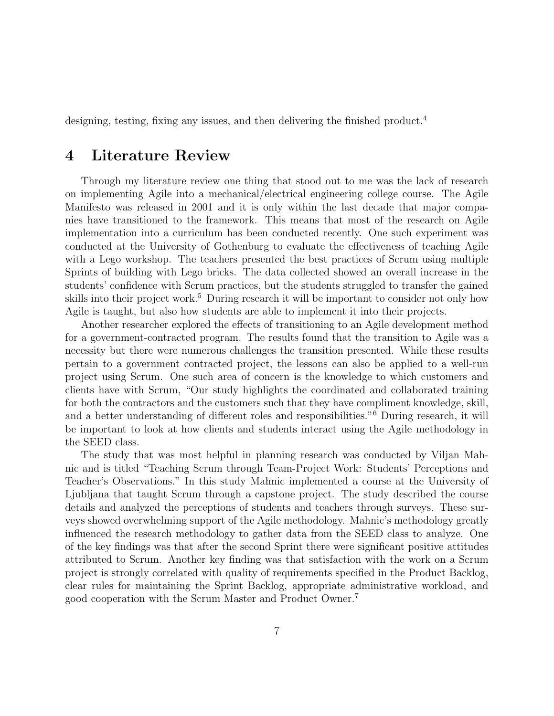designing, testing, fixing any issues, and then delivering the finished product.<sup>4</sup>

### 4 Literature Review

Through my literature review one thing that stood out to me was the lack of research on implementing Agile into a mechanical/electrical engineering college course. The Agile Manifesto was released in 2001 and it is only within the last decade that major companies have transitioned to the framework. This means that most of the research on Agile implementation into a curriculum has been conducted recently. One such experiment was conducted at the University of Gothenburg to evaluate the effectiveness of teaching Agile with a Lego workshop. The teachers presented the best practices of Scrum using multiple Sprints of building with Lego bricks. The data collected showed an overall increase in the students' confidence with Scrum practices, but the students struggled to transfer the gained skills into their project work.<sup>5</sup> During research it will be important to consider not only how Agile is taught, but also how students are able to implement it into their projects.

Another researcher explored the effects of transitioning to an Agile development method for a government-contracted program. The results found that the transition to Agile was a necessity but there were numerous challenges the transition presented. While these results pertain to a government contracted project, the lessons can also be applied to a well-run project using Scrum. One such area of concern is the knowledge to which customers and clients have with Scrum, "Our study highlights the coordinated and collaborated training for both the contractors and the customers such that they have compliment knowledge, skill, and a better understanding of different roles and responsibilities."<sup>6</sup> During research, it will be important to look at how clients and students interact using the Agile methodology in the SEED class.

The study that was most helpful in planning research was conducted by Viljan Mahnic and is titled "Teaching Scrum through Team-Project Work: Students' Perceptions and Teacher's Observations." In this study Mahnic implemented a course at the University of Ljubljana that taught Scrum through a capstone project. The study described the course details and analyzed the perceptions of students and teachers through surveys. These surveys showed overwhelming support of the Agile methodology. Mahnic's methodology greatly influenced the research methodology to gather data from the SEED class to analyze. One of the key findings was that after the second Sprint there were significant positive attitudes attributed to Scrum. Another key finding was that satisfaction with the work on a Scrum project is strongly correlated with quality of requirements specified in the Product Backlog, clear rules for maintaining the Sprint Backlog, appropriate administrative workload, and good cooperation with the Scrum Master and Product Owner.<sup>7</sup>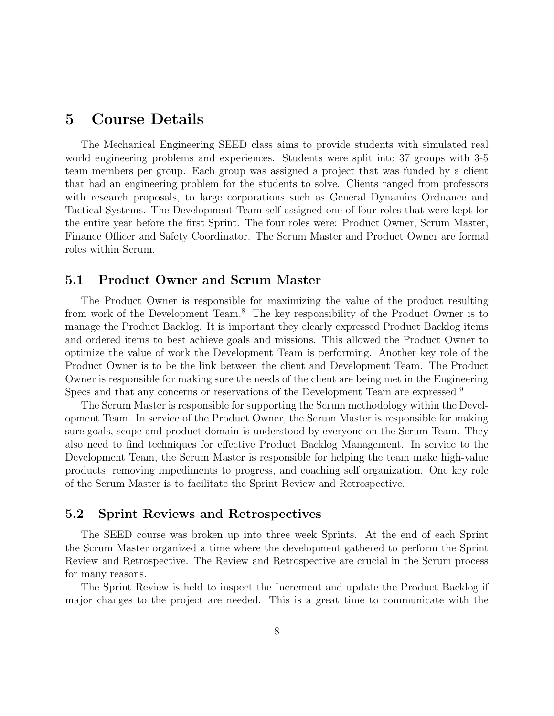### 5 Course Details

The Mechanical Engineering SEED class aims to provide students with simulated real world engineering problems and experiences. Students were split into 37 groups with 3-5 team members per group. Each group was assigned a project that was funded by a client that had an engineering problem for the students to solve. Clients ranged from professors with research proposals, to large corporations such as General Dynamics Ordnance and Tactical Systems. The Development Team self assigned one of four roles that were kept for the entire year before the first Sprint. The four roles were: Product Owner, Scrum Master, Finance Officer and Safety Coordinator. The Scrum Master and Product Owner are formal roles within Scrum.

#### 5.1 Product Owner and Scrum Master

The Product Owner is responsible for maximizing the value of the product resulting from work of the Development Team.<sup>8</sup> The key responsibility of the Product Owner is to manage the Product Backlog. It is important they clearly expressed Product Backlog items and ordered items to best achieve goals and missions. This allowed the Product Owner to optimize the value of work the Development Team is performing. Another key role of the Product Owner is to be the link between the client and Development Team. The Product Owner is responsible for making sure the needs of the client are being met in the Engineering Specs and that any concerns or reservations of the Development Team are expressed.<sup>9</sup>

The Scrum Master is responsible for supporting the Scrum methodology within the Development Team. In service of the Product Owner, the Scrum Master is responsible for making sure goals, scope and product domain is understood by everyone on the Scrum Team. They also need to find techniques for effective Product Backlog Management. In service to the Development Team, the Scrum Master is responsible for helping the team make high-value products, removing impediments to progress, and coaching self organization. One key role of the Scrum Master is to facilitate the Sprint Review and Retrospective.

#### 5.2 Sprint Reviews and Retrospectives

The SEED course was broken up into three week Sprints. At the end of each Sprint the Scrum Master organized a time where the development gathered to perform the Sprint Review and Retrospective. The Review and Retrospective are crucial in the Scrum process for many reasons.

The Sprint Review is held to inspect the Increment and update the Product Backlog if major changes to the project are needed. This is a great time to communicate with the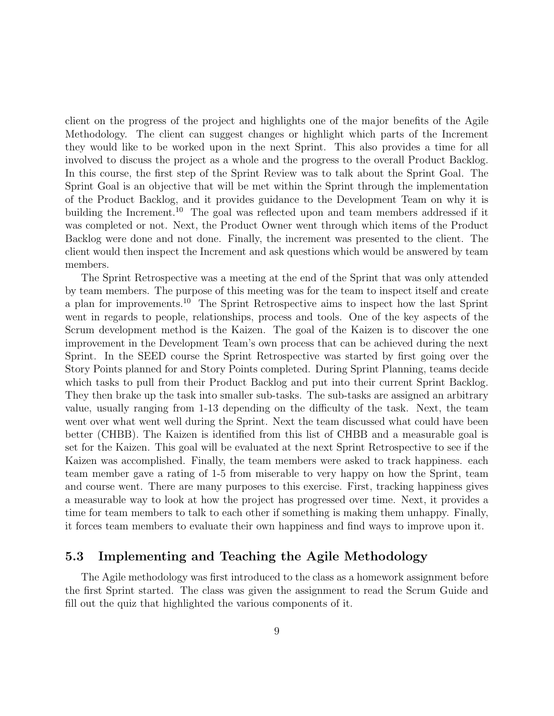client on the progress of the project and highlights one of the major benefits of the Agile Methodology. The client can suggest changes or highlight which parts of the Increment they would like to be worked upon in the next Sprint. This also provides a time for all involved to discuss the project as a whole and the progress to the overall Product Backlog. In this course, the first step of the Sprint Review was to talk about the Sprint Goal. The Sprint Goal is an objective that will be met within the Sprint through the implementation of the Product Backlog, and it provides guidance to the Development Team on why it is building the Increment.<sup>10</sup> The goal was reflected upon and team members addressed if it was completed or not. Next, the Product Owner went through which items of the Product Backlog were done and not done. Finally, the increment was presented to the client. The client would then inspect the Increment and ask questions which would be answered by team members.

The Sprint Retrospective was a meeting at the end of the Sprint that was only attended by team members. The purpose of this meeting was for the team to inspect itself and create a plan for improvements.<sup>10</sup> The Sprint Retrospective aims to inspect how the last Sprint went in regards to people, relationships, process and tools. One of the key aspects of the Scrum development method is the Kaizen. The goal of the Kaizen is to discover the one improvement in the Development Team's own process that can be achieved during the next Sprint. In the SEED course the Sprint Retrospective was started by first going over the Story Points planned for and Story Points completed. During Sprint Planning, teams decide which tasks to pull from their Product Backlog and put into their current Sprint Backlog. They then brake up the task into smaller sub-tasks. The sub-tasks are assigned an arbitrary value, usually ranging from 1-13 depending on the difficulty of the task. Next, the team went over what went well during the Sprint. Next the team discussed what could have been better (CHBB). The Kaizen is identified from this list of CHBB and a measurable goal is set for the Kaizen. This goal will be evaluated at the next Sprint Retrospective to see if the Kaizen was accomplished. Finally, the team members were asked to track happiness. each team member gave a rating of 1-5 from miserable to very happy on how the Sprint, team and course went. There are many purposes to this exercise. First, tracking happiness gives a measurable way to look at how the project has progressed over time. Next, it provides a time for team members to talk to each other if something is making them unhappy. Finally, it forces team members to evaluate their own happiness and find ways to improve upon it.

#### 5.3 Implementing and Teaching the Agile Methodology

The Agile methodology was first introduced to the class as a homework assignment before the first Sprint started. The class was given the assignment to read the Scrum Guide and fill out the quiz that highlighted the various components of it.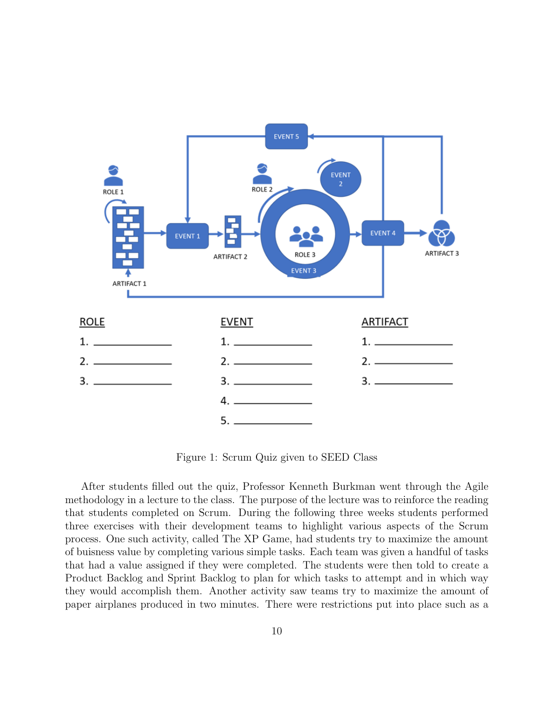

Figure 1: Scrum Quiz given to SEED Class

After students filled out the quiz, Professor Kenneth Burkman went through the Agile methodology in a lecture to the class. The purpose of the lecture was to reinforce the reading that students completed on Scrum. During the following three weeks students performed three exercises with their development teams to highlight various aspects of the Scrum process. One such activity, called The XP Game, had students try to maximize the amount of buisness value by completing various simple tasks. Each team was given a handful of tasks that had a value assigned if they were completed. The students were then told to create a Product Backlog and Sprint Backlog to plan for which tasks to attempt and in which way they would accomplish them. Another activity saw teams try to maximize the amount of paper airplanes produced in two minutes. There were restrictions put into place such as a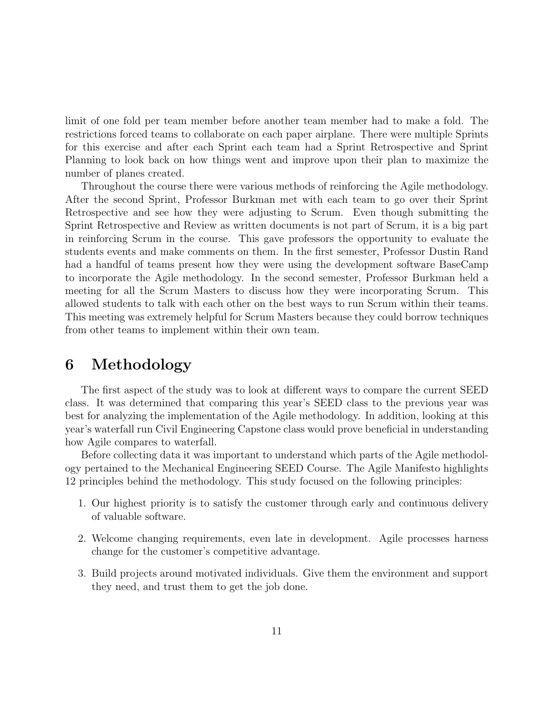limit of one fold per team member before another team member had to make a fold. The restrictions forced teams to collaborate on each paper airplane. There were multiple Sprints for this exercise and after each Sprint each team had a Sprint Retrospective and Sprint Planning to look back on how things went and improve upon their plan to maximize the number of planes created.

Throughout the course there were various methods of reinforcing the Agile methodology. After the second Sprint, Professor Burkman met with each team to go over their Sprint Retrospective and see how they were adjusting to Scrum. Even though submitting the Sprint Retrospective and Review as written documents is not part of Scrum, it is a big part in reinforcing Scrum in the course. This gave professors the opportunity to evaluate the students events and make comments on them. In the first semester, Professor Dustin Rand had a handful of teams present how they were using the development software BaseCamp to incorporate the Agile methodology. In the second semester, Professor Burkman held a meeting for all the Scrum Masters to discuss how they were incorporating Scrum. This allowed students to talk with each other on the best ways to run Scrum within their teams. This meeting was extremely helpful for Scrum Masters because they could borrow techniques from other teams to implement within their own team.

### 6 Methodology

The first aspect of the study was to look at different ways to compare the current SEED class. It was determined that comparing this year's SEED class to the previous year was best for analyzing the implementation of the Agile methodology. In addition, looking at this year's waterfall run Civil Engineering Capstone class would prove beneficial in understanding how Agile compares to waterfall.

Before collecting data it was important to understand which parts of the Agile methodology pertained to the Mechanical Engineering SEED Course. The Agile Manifesto highlights 12 principles behind the methodology. This study focused on the following principles:

- 1. Our highest priority is to satisfy the customer through early and continuous delivery of valuable software.
- 2. Welcome changing requirements, even late in development. Agile processes harness change for the customer's competitive advantage.
- 3. Build projects around motivated individuals. Give them the environment and support they need, and trust them to get the job done.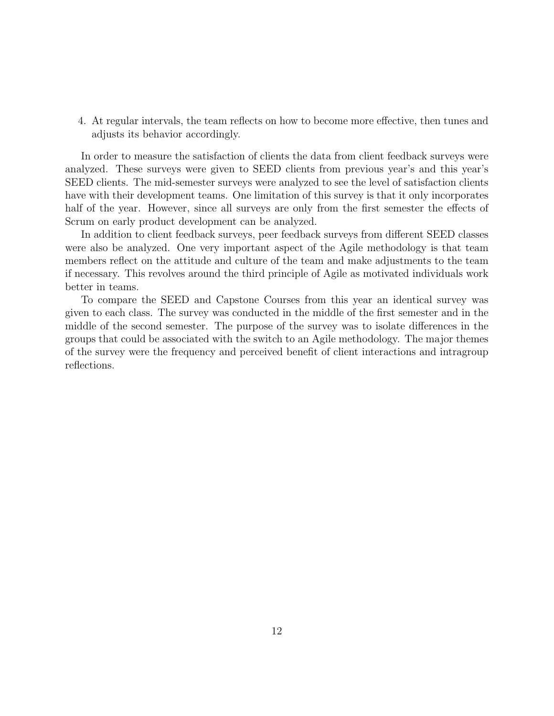4. At regular intervals, the team reflects on how to become more effective, then tunes and adjusts its behavior accordingly.

In order to measure the satisfaction of clients the data from client feedback surveys were analyzed. These surveys were given to SEED clients from previous year's and this year's SEED clients. The mid-semester surveys were analyzed to see the level of satisfaction clients have with their development teams. One limitation of this survey is that it only incorporates half of the year. However, since all surveys are only from the first semester the effects of Scrum on early product development can be analyzed.

In addition to client feedback surveys, peer feedback surveys from different SEED classes were also be analyzed. One very important aspect of the Agile methodology is that team members reflect on the attitude and culture of the team and make adjustments to the team if necessary. This revolves around the third principle of Agile as motivated individuals work better in teams.

To compare the SEED and Capstone Courses from this year an identical survey was given to each class. The survey was conducted in the middle of the first semester and in the middle of the second semester. The purpose of the survey was to isolate differences in the groups that could be associated with the switch to an Agile methodology. The major themes of the survey were the frequency and perceived benefit of client interactions and intragroup reflections.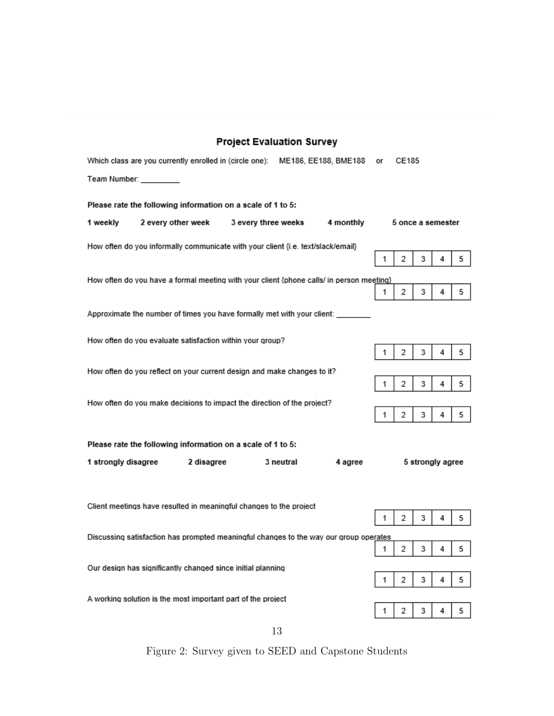| <b>Project Evaluation Survey</b>                                                         |    |                   |                  |   |   |
|------------------------------------------------------------------------------------------|----|-------------------|------------------|---|---|
| Which class are you currently enrolled in (circle one): ME186, EE188, BME188             | or | CE185             |                  |   |   |
| Team Number: ________                                                                    |    |                   |                  |   |   |
| Please rate the following information on a scale of 1 to 5:                              |    |                   |                  |   |   |
| 1 weekly<br>2 every other week<br>3 every three weeks<br>4 monthly                       |    | 5 once a semester |                  |   |   |
| How often do you informally communicate with your client {i.e. text/slack/email}         | 1  | 2                 | 3                | 4 | 5 |
|                                                                                          |    |                   |                  |   |   |
| How often do you have a formal meeting with your client {phone calls/ in person meeting} | 1  | 2                 | 3                | 4 | 5 |
| Approximate the number of times you have formally met with your client:                  |    |                   |                  |   |   |
| How often do you evaluate satisfaction within your group?                                | 1  | 2                 | 3                | 4 | 5 |
| How often do you reflect on your current design and make changes to it?                  |    |                   |                  |   |   |
|                                                                                          | 1  | 2                 | 3                | 4 | 5 |
| How often do you make decisions to impact the direction of the project?                  |    |                   |                  |   |   |
|                                                                                          | 1  | 2                 | 3                | 4 | 5 |
| Please rate the following information on a scale of 1 to 5:                              |    |                   |                  |   |   |
| 1 strongly disagree<br>2 disagree<br>3 neutral<br>4 agree                                |    |                   | 5 strongly agree |   |   |
| Client meetings have resulted in meaningful changes to the project                       |    |                   |                  |   |   |
|                                                                                          | 1  | 2                 | 3                | 4 | 5 |
| Discussing satisfaction has prompted meaningful changes to the way our group operates    |    |                   |                  |   |   |
|                                                                                          | 1  | 2                 | 3                | 4 | 5 |
| Our design has significantly changed since initial planning                              | 1  | 2                 | 3                | 4 | 5 |
| A working solution is the most important part of the project                             |    |                   |                  |   |   |
|                                                                                          | 1  | 2                 | 3                | 4 | 5 |

13

Figure 2: Survey given to SEED and Capstone Students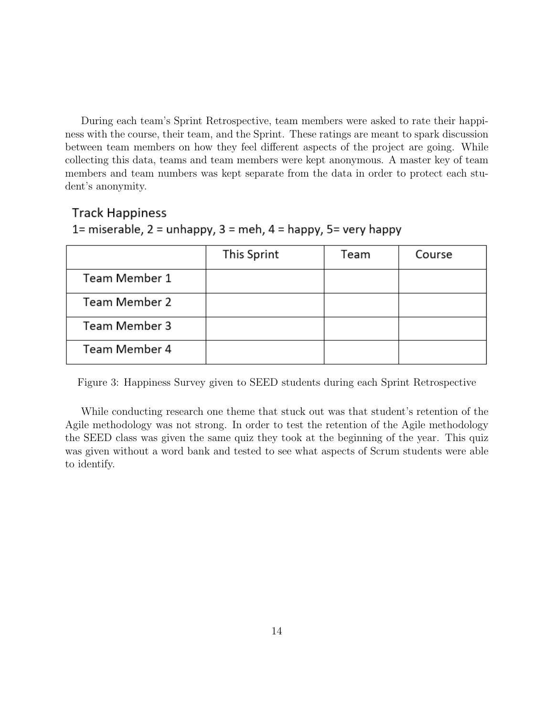During each team's Sprint Retrospective, team members were asked to rate their happiness with the course, their team, and the Sprint. These ratings are meant to spark discussion between team members on how they feel different aspects of the project are going. While collecting this data, teams and team members were kept anonymous. A master key of team members and team numbers was kept separate from the data in order to protect each student's anonymity.

#### **Track Happiness**

### 1= miserable,  $2$  = unhappy,  $3$  = meh,  $4$  = happy,  $5$ = very happy

|               | This Sprint | Team | Course |
|---------------|-------------|------|--------|
| Team Member 1 |             |      |        |
| Team Member 2 |             |      |        |
| Team Member 3 |             |      |        |
| Team Member 4 |             |      |        |

Figure 3: Happiness Survey given to SEED students during each Sprint Retrospective

While conducting research one theme that stuck out was that student's retention of the Agile methodology was not strong. In order to test the retention of the Agile methodology the SEED class was given the same quiz they took at the beginning of the year. This quiz was given without a word bank and tested to see what aspects of Scrum students were able to identify.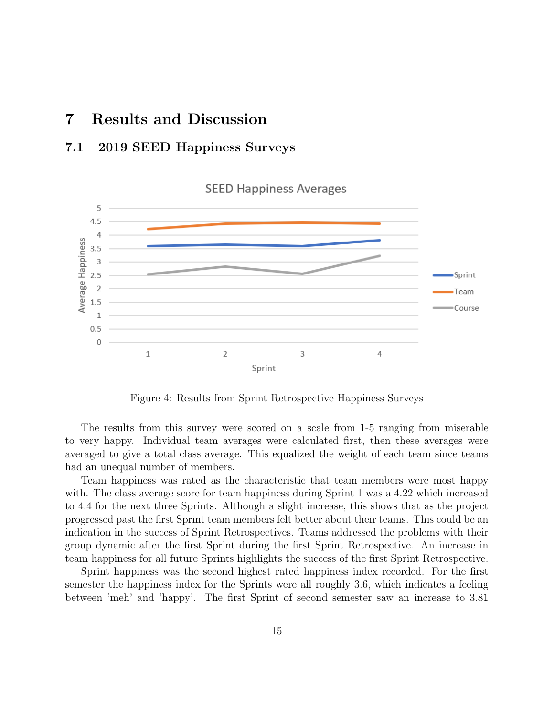### 7 Results and Discussion

### 7.1 2019 SEED Happiness Surveys



Figure 4: Results from Sprint Retrospective Happiness Surveys

The results from this survey were scored on a scale from 1-5 ranging from miserable to very happy. Individual team averages were calculated first, then these averages were averaged to give a total class average. This equalized the weight of each team since teams had an unequal number of members.

Team happiness was rated as the characteristic that team members were most happy with. The class average score for team happiness during Sprint 1 was a 4.22 which increased to 4.4 for the next three Sprints. Although a slight increase, this shows that as the project progressed past the first Sprint team members felt better about their teams. This could be an indication in the success of Sprint Retrospectives. Teams addressed the problems with their group dynamic after the first Sprint during the first Sprint Retrospective. An increase in team happiness for all future Sprints highlights the success of the first Sprint Retrospective.

Sprint happiness was the second highest rated happiness index recorded. For the first semester the happiness index for the Sprints were all roughly 3.6, which indicates a feeling between 'meh' and 'happy'. The first Sprint of second semester saw an increase to 3.81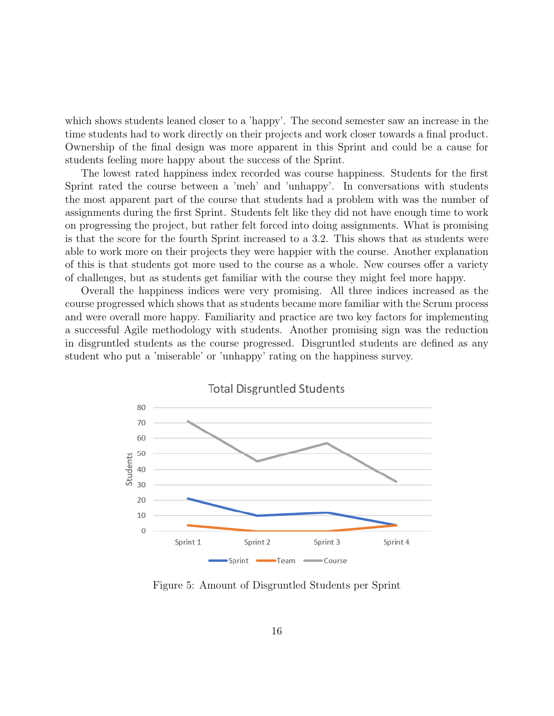which shows students leaned closer to a 'happy'. The second semester saw an increase in the time students had to work directly on their projects and work closer towards a final product. Ownership of the final design was more apparent in this Sprint and could be a cause for students feeling more happy about the success of the Sprint.

The lowest rated happiness index recorded was course happiness. Students for the first Sprint rated the course between a 'meh' and 'unhappy'. In conversations with students the most apparent part of the course that students had a problem with was the number of assignments during the first Sprint. Students felt like they did not have enough time to work on progressing the project, but rather felt forced into doing assignments. What is promising is that the score for the fourth Sprint increased to a 3.2. This shows that as students were able to work more on their projects they were happier with the course. Another explanation of this is that students got more used to the course as a whole. New courses offer a variety of challenges, but as students get familiar with the course they might feel more happy.

Overall the happiness indices were very promising. All three indices increased as the course progressed which shows that as students became more familiar with the Scrum process and were overall more happy. Familiarity and practice are two key factors for implementing a successful Agile methodology with students. Another promising sign was the reduction in disgruntled students as the course progressed. Disgruntled students are defined as any student who put a 'miserable' or 'unhappy' rating on the happiness survey.



Figure 5: Amount of Disgruntled Students per Sprint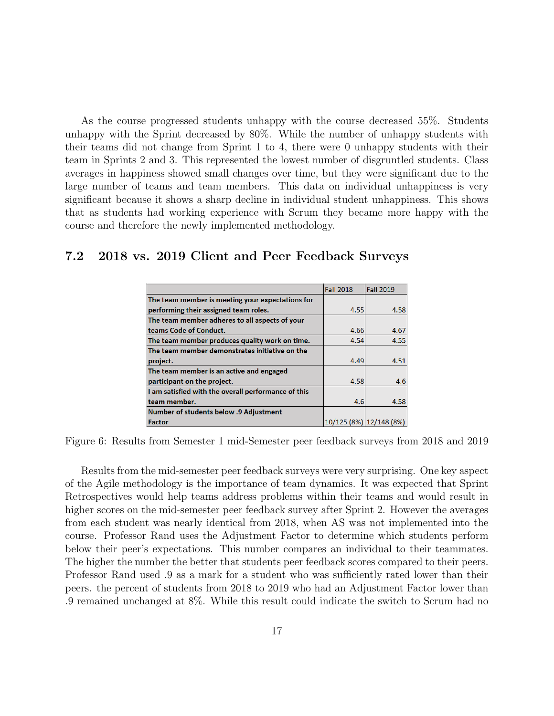As the course progressed students unhappy with the course decreased 55%. Students unhappy with the Sprint decreased by 80%. While the number of unhappy students with their teams did not change from Sprint 1 to 4, there were 0 unhappy students with their team in Sprints 2 and 3. This represented the lowest number of disgruntled students. Class averages in happiness showed small changes over time, but they were significant due to the large number of teams and team members. This data on individual unhappiness is very significant because it shows a sharp decline in individual student unhappiness. This shows that as students had working experience with Scrum they became more happy with the course and therefore the newly implemented methodology.

#### 7.2 2018 vs. 2019 Client and Peer Feedback Surveys

|                                                     | <b>Fall 2018</b>        | <b>Fall 2019</b> |
|-----------------------------------------------------|-------------------------|------------------|
| The team member is meeting your expectations for    |                         |                  |
| performing their assigned team roles.               | 4.55                    | 4.58             |
| The team member adheres to all aspects of your      |                         |                  |
| teams Code of Conduct.                              | 4.66                    | 4.67             |
| The team member produces quality work on time.      | 4.54                    | 4.55             |
| The team member demonstrates initiative on the      |                         |                  |
| project.                                            | 4.49                    | 4.51             |
| The team member is an active and engaged            |                         |                  |
| participant on the project.                         | 4.58                    | 4.6              |
| I am satisfied with the overall performance of this |                         |                  |
| team member.                                        | 4.6                     | 4.58             |
| <b>Number of students below .9 Adjustment</b>       |                         |                  |
| <b>Factor</b>                                       | 10/125 (8%) 12/148 (8%) |                  |

Figure 6: Results from Semester 1 mid-Semester peer feedback surveys from 2018 and 2019

Results from the mid-semester peer feedback surveys were very surprising. One key aspect of the Agile methodology is the importance of team dynamics. It was expected that Sprint Retrospectives would help teams address problems within their teams and would result in higher scores on the mid-semester peer feedback survey after Sprint 2. However the averages from each student was nearly identical from 2018, when AS was not implemented into the course. Professor Rand uses the Adjustment Factor to determine which students perform below their peer's expectations. This number compares an individual to their teammates. The higher the number the better that students peer feedback scores compared to their peers. Professor Rand used .9 as a mark for a student who was sufficiently rated lower than their peers. the percent of students from 2018 to 2019 who had an Adjustment Factor lower than .9 remained unchanged at 8%. While this result could indicate the switch to Scrum had no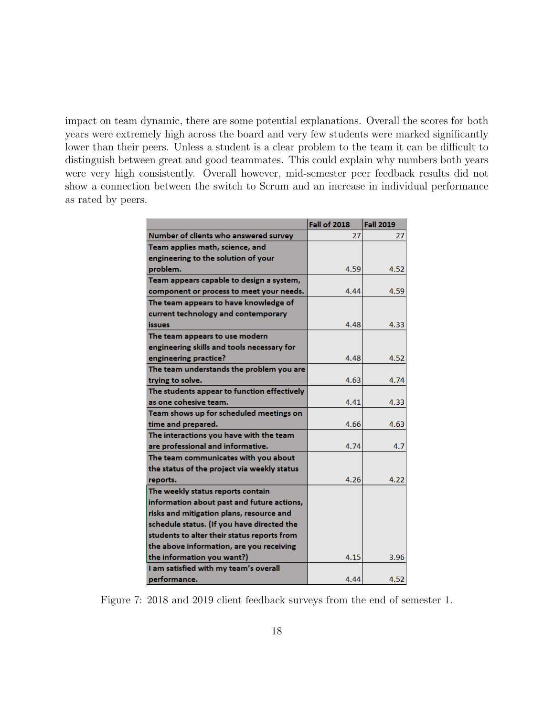impact on team dynamic, there are some potential explanations. Overall the scores for both years were extremely high across the board and very few students were marked significantly lower than their peers. Unless a student is a clear problem to the team it can be difficult to distinguish between great and good teammates. This could explain why numbers both years were very high consistently. Overall however, mid-semester peer feedback results did not show a connection between the switch to Scrum and an increase in individual performance as rated by peers.

|                                             | <b>Fall of 2018</b> | <b>Fall 2019</b> |
|---------------------------------------------|---------------------|------------------|
| Number of clients who answered survey       | 27                  | 27               |
| Team applies math, science, and             |                     |                  |
| engineering to the solution of your         |                     |                  |
| problem.                                    | 4.59                | 4.52             |
| Team appears capable to design a system,    |                     |                  |
| component or process to meet your needs.    | 4.44                | 4.59             |
| The team appears to have knowledge of       |                     |                  |
| current technology and contemporary         |                     |                  |
| issues                                      | 4.48                | 4.33             |
| The team appears to use modern              |                     |                  |
| engineering skills and tools necessary for  |                     |                  |
| engineering practice?                       | 4.48                | 4.52             |
| The team understands the problem you are    |                     |                  |
| trying to solve.                            | 4.63                | 4.74             |
| The students appear to function effectively |                     |                  |
| as one cohesive team.                       | 4.41                | 4.33             |
| Team shows up for scheduled meetings on     |                     |                  |
| time and prepared.                          | 4.66                | 4.63             |
| The interactions you have with the team     |                     |                  |
| are professional and informative.           | 4.74                | 4.7              |
| The team communicates with you about        |                     |                  |
| the status of the project via weekly status |                     |                  |
| reports.                                    | 4.26                | 4.22             |
| The weekly status reports contain           |                     |                  |
| information about past and future actions,  |                     |                  |
| risks and mitigation plans, resource and    |                     |                  |
| schedule status. (If you have directed the  |                     |                  |
| students to alter their status reports from |                     |                  |
| the above information, are you receiving    |                     |                  |
| the information you want?)                  | 4.15                | 3.96             |
| I am satisfied with my team's overall       |                     |                  |
| performance.                                | 4.44                | 4.52             |

Figure 7: 2018 and 2019 client feedback surveys from the end of semester 1.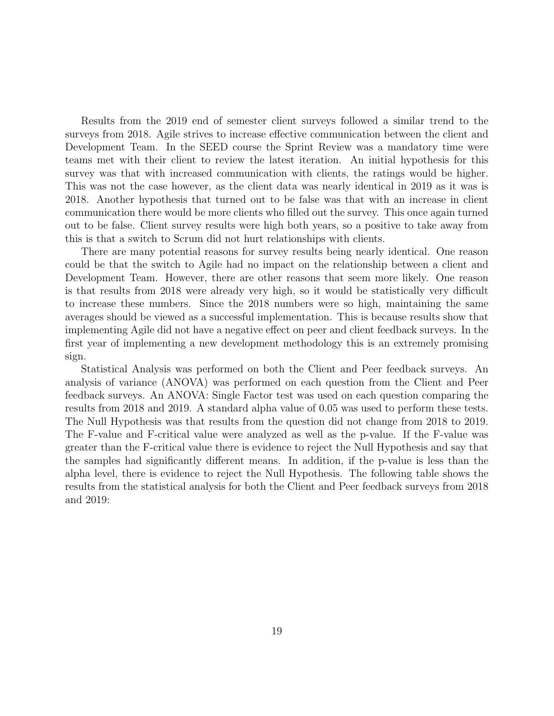Results from the 2019 end of semester client surveys followed a similar trend to the surveys from 2018. Agile strives to increase effective communication between the client and Development Team. In the SEED course the Sprint Review was a mandatory time were teams met with their client to review the latest iteration. An initial hypothesis for this survey was that with increased communication with clients, the ratings would be higher. This was not the case however, as the client data was nearly identical in 2019 as it was is 2018. Another hypothesis that turned out to be false was that with an increase in client communication there would be more clients who filled out the survey. This once again turned out to be false. Client survey results were high both years, so a positive to take away from this is that a switch to Scrum did not hurt relationships with clients.

There are many potential reasons for survey results being nearly identical. One reason could be that the switch to Agile had no impact on the relationship between a client and Development Team. However, there are other reasons that seem more likely. One reason is that results from 2018 were already very high, so it would be statistically very difficult to increase these numbers. Since the 2018 numbers were so high, maintaining the same averages should be viewed as a successful implementation. This is because results show that implementing Agile did not have a negative effect on peer and client feedback surveys. In the first year of implementing a new development methodology this is an extremely promising sign.

Statistical Analysis was performed on both the Client and Peer feedback surveys. An analysis of variance (ANOVA) was performed on each question from the Client and Peer feedback surveys. An ANOVA: Single Factor test was used on each question comparing the results from 2018 and 2019. A standard alpha value of 0.05 was used to perform these tests. The Null Hypothesis was that results from the question did not change from 2018 to 2019. The F-value and F-critical value were analyzed as well as the p-value. If the F-value was greater than the F-critical value there is evidence to reject the Null Hypothesis and say that the samples had significantly different means. In addition, if the p-value is less than the alpha level, there is evidence to reject the Null Hypothesis. The following table shows the results from the statistical analysis for both the Client and Peer feedback surveys from 2018 and 2019: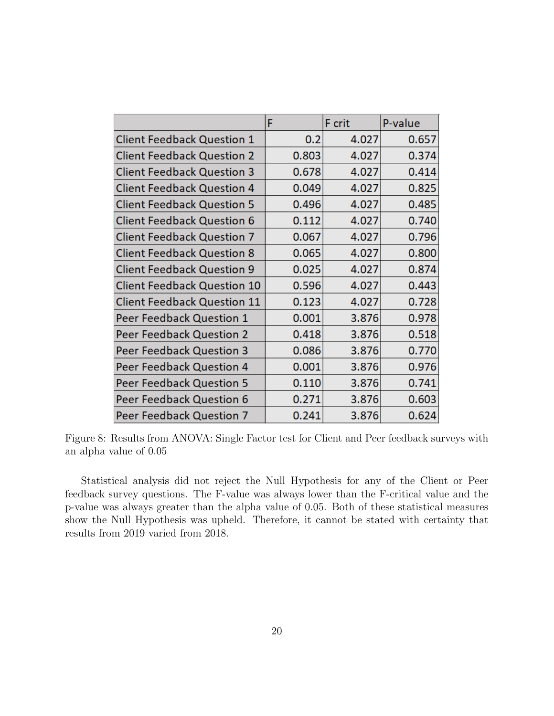|                                    | F     | F crit | P-value |
|------------------------------------|-------|--------|---------|
| <b>Client Feedback Question 1</b>  | 0.2   | 4.027  | 0.657   |
| <b>Client Feedback Question 2</b>  | 0.803 | 4.027  | 0.374   |
| <b>Client Feedback Question 3</b>  | 0.678 | 4.027  | 0.414   |
| <b>Client Feedback Question 4</b>  | 0.049 | 4.027  | 0.825   |
| <b>Client Feedback Question 5</b>  | 0.496 | 4.027  | 0.485   |
| <b>Client Feedback Question 6</b>  | 0.112 | 4.027  | 0.740   |
| <b>Client Feedback Question 7</b>  | 0.067 | 4.027  | 0.796   |
| <b>Client Feedback Question 8</b>  | 0.065 | 4.027  | 0.800   |
| <b>Client Feedback Question 9</b>  | 0.025 | 4.027  | 0.874   |
| <b>Client Feedback Question 10</b> | 0.596 | 4.027  | 0.443   |
| <b>Client Feedback Question 11</b> | 0.123 | 4.027  | 0.728   |
| <b>Peer Feedback Question 1</b>    | 0.001 | 3.876  | 0.978   |
| <b>Peer Feedback Question 2</b>    | 0.418 | 3.876  | 0.518   |
| Peer Feedback Question 3           | 0.086 | 3.876  | 0.770   |
| <b>Peer Feedback Question 4</b>    | 0.001 | 3.876  | 0.976   |
| <b>Peer Feedback Question 5</b>    | 0.110 | 3.876  | 0.741   |
| Peer Feedback Question 6           | 0.271 | 3.876  | 0.603   |
| <b>Peer Feedback Question 7</b>    | 0.241 | 3.876  | 0.624   |

Figure 8: Results from ANOVA: Single Factor test for Client and Peer feedback surveys with an alpha value of 0.05

Statistical analysis did not reject the Null Hypothesis for any of the Client or Peer feedback survey questions. The F-value was always lower than the F-critical value and the p-value was always greater than the alpha value of 0.05. Both of these statistical measures show the Null Hypothesis was upheld. Therefore, it cannot be stated with certainty that results from 2019 varied from 2018.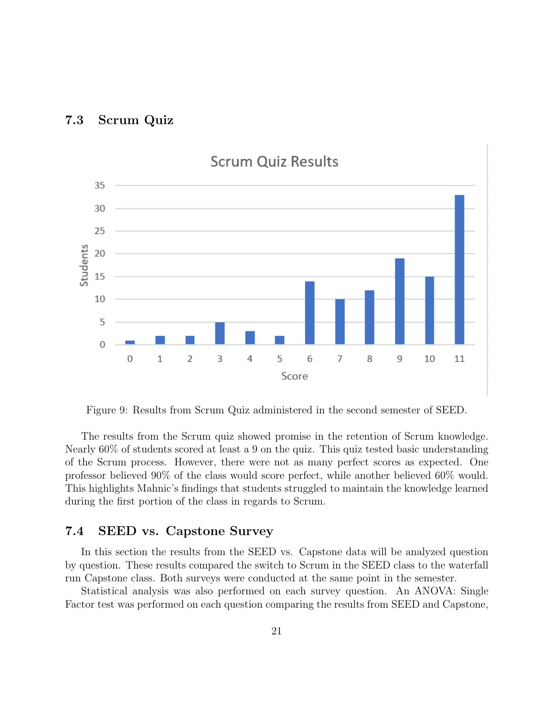



Figure 9: Results from Scrum Quiz administered in the second semester of SEED.

The results from the Scrum quiz showed promise in the retention of Scrum knowledge. Nearly 60% of students scored at least a 9 on the quiz. This quiz tested basic understanding of the Scrum process. However, there were not as many perfect scores as expected. One professor believed 90% of the class would score perfect, while another believed 60% would. This highlights Mahnic's findings that students struggled to maintain the knowledge learned during the first portion of the class in regards to Scrum.

#### 7.4 SEED vs. Capstone Survey

In this section the results from the SEED vs. Capstone data will be analyzed question by question. These results compared the switch to Scrum in the SEED class to the waterfall run Capstone class. Both surveys were conducted at the same point in the semester.

Statistical analysis was also performed on each survey question. An ANOVA: Single Factor test was performed on each question comparing the results from SEED and Capstone,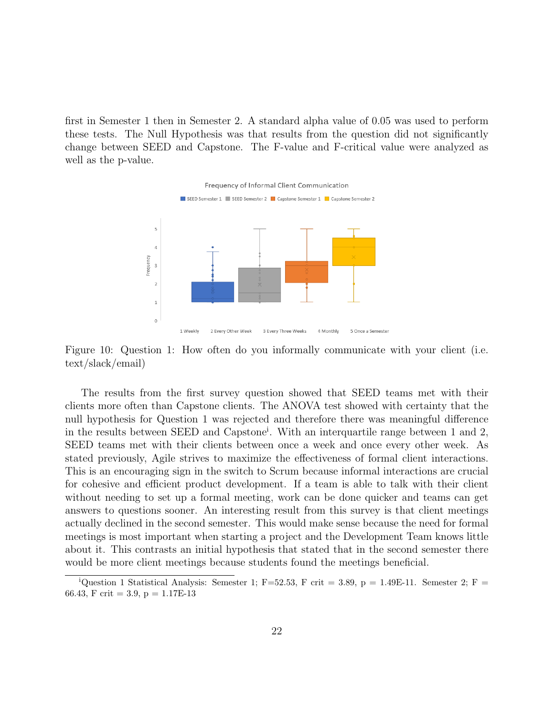first in Semester 1 then in Semester 2. A standard alpha value of 0.05 was used to perform these tests. The Null Hypothesis was that results from the question did not significantly change between SEED and Capstone. The F-value and F-critical value were analyzed as well as the p-value.



Figure 10: Question 1: How often do you informally communicate with your client (i.e. text/slack/email)

The results from the first survey question showed that SEED teams met with their clients more often than Capstone clients. The ANOVA test showed with certainty that the null hypothesis for Question 1 was rejected and therefore there was meaningful difference in the results between SEED and Capstone<sup>i</sup> . With an interquartile range between 1 and 2, SEED teams met with their clients between once a week and once every other week. As stated previously, Agile strives to maximize the effectiveness of formal client interactions. This is an encouraging sign in the switch to Scrum because informal interactions are crucial for cohesive and efficient product development. If a team is able to talk with their client without needing to set up a formal meeting, work can be done quicker and teams can get answers to questions sooner. An interesting result from this survey is that client meetings actually declined in the second semester. This would make sense because the need for formal meetings is most important when starting a project and the Development Team knows little about it. This contrasts an initial hypothesis that stated that in the second semester there would be more client meetings because students found the meetings beneficial.

<sup>&</sup>lt;sup>i</sup>Question 1 Statistical Analysis: Semester 1; F=52.53, F crit = 3.89, p = 1.49E-11. Semester 2; F = 66.43, F crit = 3.9,  $p = 1.17E-13$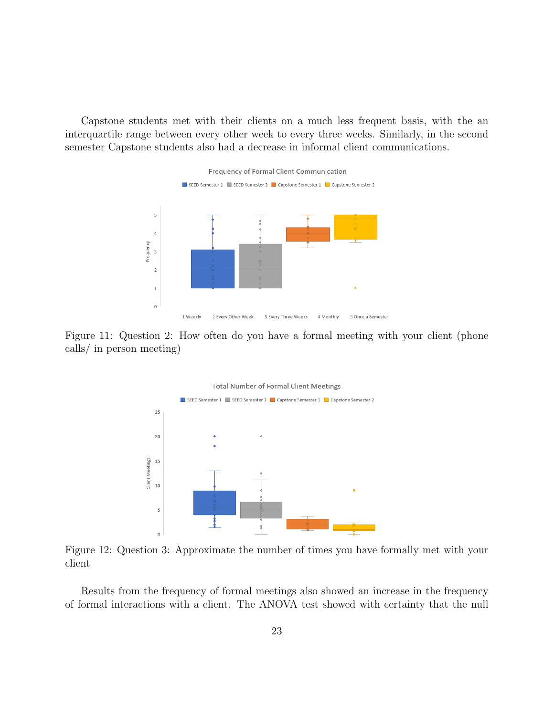Capstone students met with their clients on a much less frequent basis, with the an interquartile range between every other week to every three weeks. Similarly, in the second semester Capstone students also had a decrease in informal client communications.



Figure 11: Question 2: How often do you have a formal meeting with your client (phone calls/ in person meeting)



Figure 12: Question 3: Approximate the number of times you have formally met with your client

Results from the frequency of formal meetings also showed an increase in the frequency of formal interactions with a client. The ANOVA test showed with certainty that the null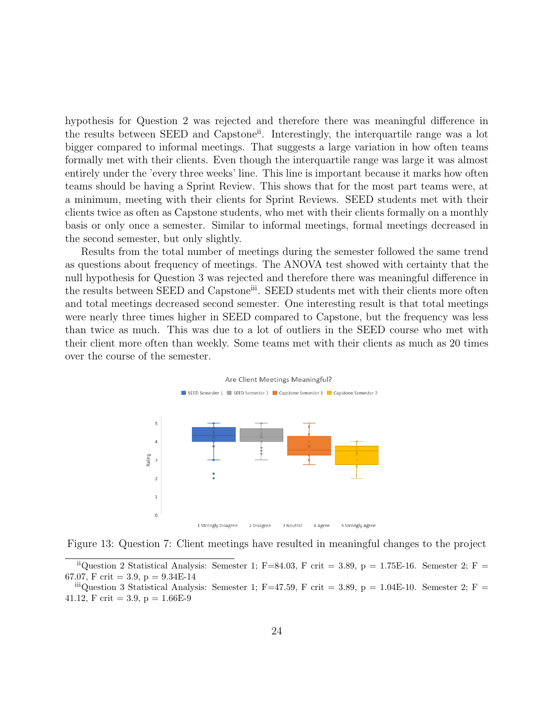hypothesis for Question 2 was rejected and therefore there was meaningful difference in the results between SEED and Capstone<sup>ii</sup>. Interestingly, the interquartile range was a lot bigger compared to informal meetings. That suggests a large variation in how often teams formally met with their clients. Even though the interquartile range was large it was almost entirely under the 'every three weeks' line. This line is important because it marks how often teams should be having a Sprint Review. This shows that for the most part teams were, at a minimum, meeting with their clients for Sprint Reviews. SEED students met with their clients twice as often as Capstone students, who met with their clients formally on a monthly basis or only once a semester. Similar to informal meetings, formal meetings decreased in the second semester, but only slightly.

Results from the total number of meetings during the semester followed the same trend as questions about frequency of meetings. The ANOVA test showed with certainty that the null hypothesis for Question 3 was rejected and therefore there was meaningful difference in the results between SEED and Capstoneiii. SEED students met with their clients more often and total meetings decreased second semester. One interesting result is that total meetings were nearly three times higher in SEED compared to Capstone, but the frequency was less than twice as much. This was due to a lot of outliers in the SEED course who met with their client more often than weekly. Some teams met with their clients as much as 20 times over the course of the semester.







<sup>&</sup>lt;sup>ii</sup>Question 2 Statistical Analysis: Semester 1; F=84.03, F crit = 3.89, p = 1.75E-16. Semester 2; F = 67.07, F crit = 3.9, p =  $9.34E-14$ 

 $\ddot{h}$  iiiQuestion 3 Statistical Analysis: Semester 1; F=47.59, F crit = 3.89, p = 1.04E-10. Semester 2; F = 41.12, F crit = 3.9,  $p = 1.66E-9$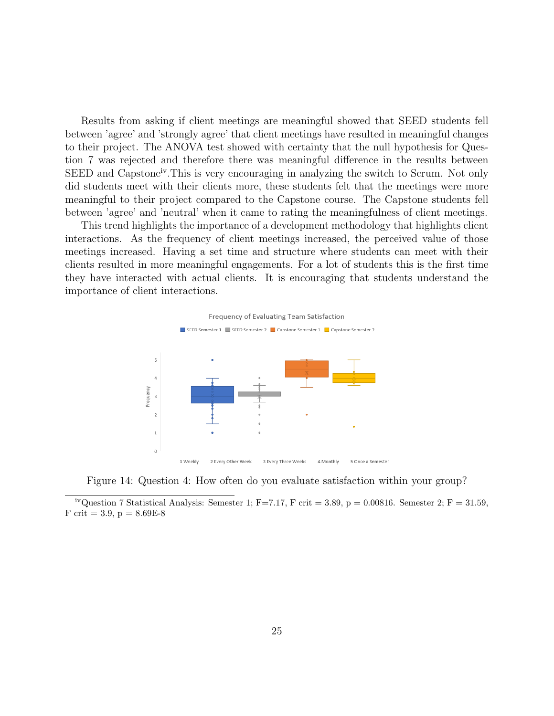Results from asking if client meetings are meaningful showed that SEED students fell between 'agree' and 'strongly agree' that client meetings have resulted in meaningful changes to their project. The ANOVA test showed with certainty that the null hypothesis for Question 7 was rejected and therefore there was meaningful difference in the results between SEED and Capstone<sup>iv</sup>. This is very encouraging in analyzing the switch to Scrum. Not only did students meet with their clients more, these students felt that the meetings were more meaningful to their project compared to the Capstone course. The Capstone students fell between 'agree' and 'neutral' when it came to rating the meaningfulness of client meetings.

This trend highlights the importance of a development methodology that highlights client interactions. As the frequency of client meetings increased, the perceived value of those meetings increased. Having a set time and structure where students can meet with their clients resulted in more meaningful engagements. For a lot of students this is the first time they have interacted with actual clients. It is encouraging that students understand the importance of client interactions.



Figure 14: Question 4: How often do you evaluate satisfaction within your group?

<sup>&</sup>lt;sup>iv</sup>Question 7 Statistical Analysis: Semester 1; F=7.17, F crit = 3.89, p = 0.00816. Semester 2; F = 31.59, F crit = 3.9,  $p = 8.69E-8$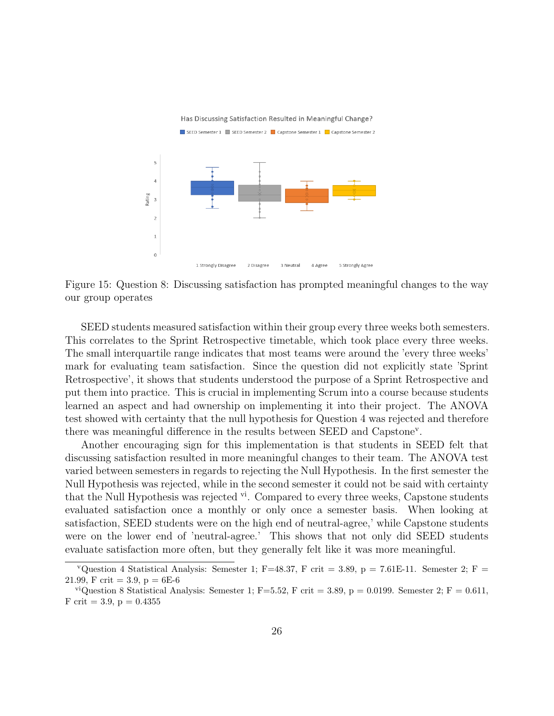

Figure 15: Question 8: Discussing satisfaction has prompted meaningful changes to the way our group operates

SEED students measured satisfaction within their group every three weeks both semesters. This correlates to the Sprint Retrospective timetable, which took place every three weeks. The small interquartile range indicates that most teams were around the 'every three weeks' mark for evaluating team satisfaction. Since the question did not explicitly state 'Sprint Retrospective', it shows that students understood the purpose of a Sprint Retrospective and put them into practice. This is crucial in implementing Scrum into a course because students learned an aspect and had ownership on implementing it into their project. The ANOVA test showed with certainty that the null hypothesis for Question 4 was rejected and therefore there was meaningful difference in the results between SEED and Capstone<sup>v</sup>.

Another encouraging sign for this implementation is that students in SEED felt that discussing satisfaction resulted in more meaningful changes to their team. The ANOVA test varied between semesters in regards to rejecting the Null Hypothesis. In the first semester the Null Hypothesis was rejected, while in the second semester it could not be said with certainty that the Null Hypothesis was rejected  $\mathbf{v}^i$ . Compared to every three weeks, Capstone students evaluated satisfaction once a monthly or only once a semester basis. When looking at satisfaction, SEED students were on the high end of neutral-agree,' while Capstone students were on the lower end of 'neutral-agree.' This shows that not only did SEED students evaluate satisfaction more often, but they generally felt like it was more meaningful.

<sup>&</sup>lt;sup>v</sup>Question 4 Statistical Analysis: Semester 1; F=48.37, F crit = 3.89, p = 7.61E-11. Semester 2; F = 21.99, F crit = 3.9,  $p = 6E-6$ 

<sup>&</sup>lt;sup>vi</sup>Question 8 Statistical Analysis: Semester 1; F=5.52, F crit = 3.89, p = 0.0199. Semester 2; F = 0.611, F crit = 3.9,  $p = 0.4355$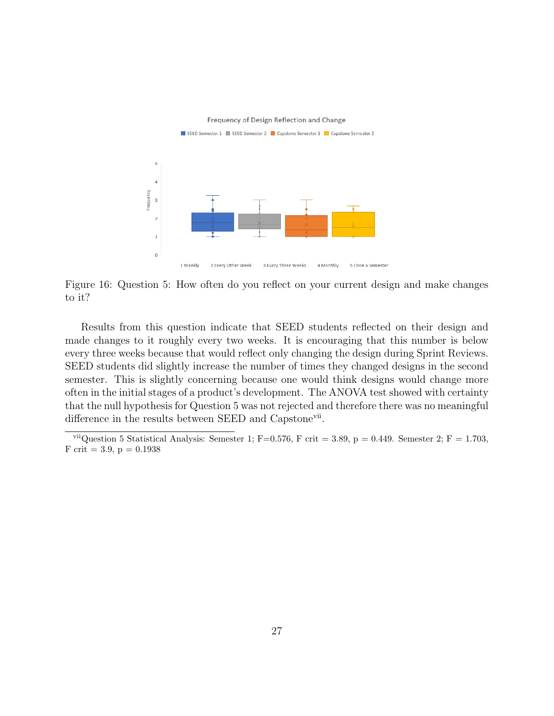

Figure 16: Question 5: How often do you reflect on your current design and make changes to it?

Results from this question indicate that SEED students reflected on their design and made changes to it roughly every two weeks. It is encouraging that this number is below every three weeks because that would reflect only changing the design during Sprint Reviews. SEED students did slightly increase the number of times they changed designs in the second semester. This is slightly concerning because one would think designs would change more often in the initial stages of a product's development. The ANOVA test showed with certainty that the null hypothesis for Question 5 was not rejected and therefore there was no meaningful difference in the results between SEED and Capstone<sup>vii</sup>.

viiQuestion 5 Statistical Analysis: Semester 1; F=0.576, F crit = 3.89, p = 0.449. Semester 2; F = 1.703, F crit = 3.9,  $p = 0.1938$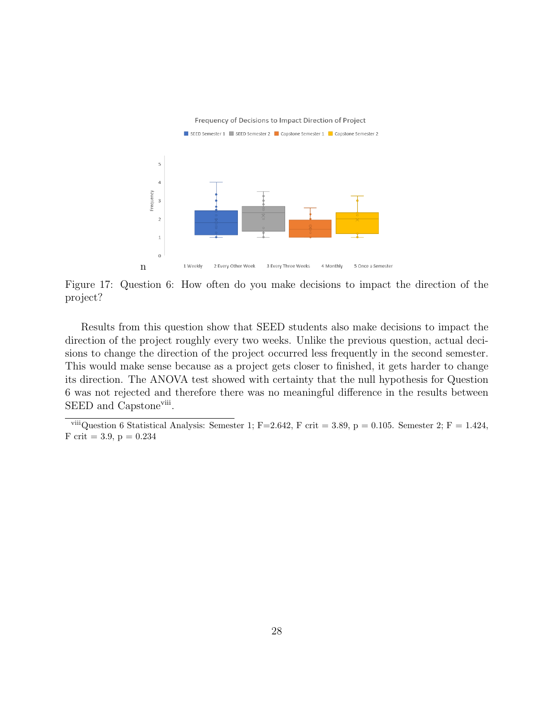

Figure 17: Question 6: How often do you make decisions to impact the direction of the project?

Results from this question show that SEED students also make decisions to impact the direction of the project roughly every two weeks. Unlike the previous question, actual decisions to change the direction of the project occurred less frequently in the second semester. This would make sense because as a project gets closer to finished, it gets harder to change its direction. The ANOVA test showed with certainty that the null hypothesis for Question 6 was not rejected and therefore there was no meaningful difference in the results between SEED and Capstone<sup>viii</sup>.

<sup>&</sup>lt;sup>viii</sup>Question 6 Statistical Analysis: Semester 1; F=2.642, F crit = 3.89, p = 0.105. Semester 2; F = 1.424, F crit = 3.9,  $p = 0.234$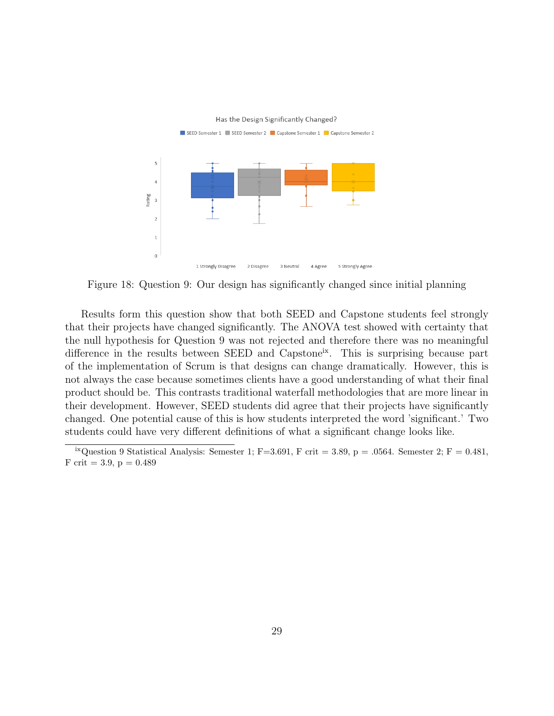

Figure 18: Question 9: Our design has significantly changed since initial planning

Results form this question show that both SEED and Capstone students feel strongly that their projects have changed significantly. The ANOVA test showed with certainty that the null hypothesis for Question 9 was not rejected and therefore there was no meaningful difference in the results between SEED and Capstone<sup>ix</sup>. This is surprising because part of the implementation of Scrum is that designs can change dramatically. However, this is not always the case because sometimes clients have a good understanding of what their final product should be. This contrasts traditional waterfall methodologies that are more linear in their development. However, SEED students did agree that their projects have significantly changed. One potential cause of this is how students interpreted the word 'significant.' Two students could have very different definitions of what a significant change looks like.

<sup>&</sup>lt;sup>ix</sup>Question 9 Statistical Analysis: Semester 1; F=3.691, F crit = 3.89, p = .0564. Semester 2; F = 0.481, F crit = 3.9,  $p = 0.489$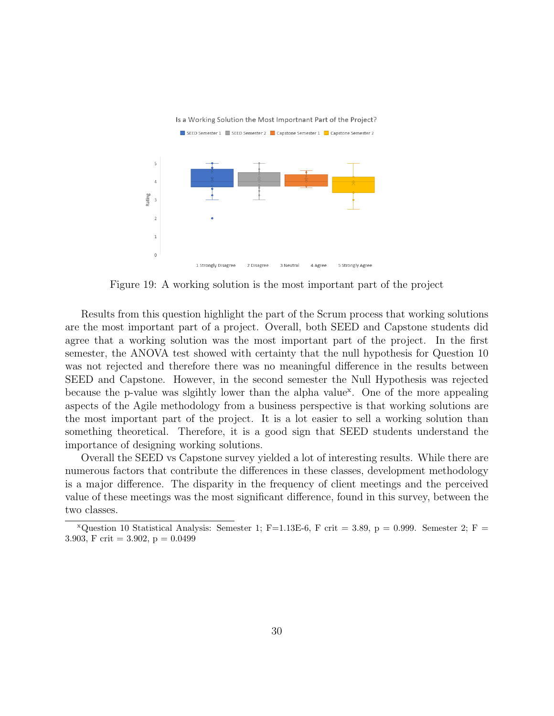

Figure 19: A working solution is the most important part of the project

Results from this question highlight the part of the Scrum process that working solutions are the most important part of a project. Overall, both SEED and Capstone students did agree that a working solution was the most important part of the project. In the first semester, the ANOVA test showed with certainty that the null hypothesis for Question 10 was not rejected and therefore there was no meaningful difference in the results between SEED and Capstone. However, in the second semester the Null Hypothesis was rejected because the p-value was slgihtly lower than the alpha value<sup>x</sup>. One of the more appealing aspects of the Agile methodology from a business perspective is that working solutions are the most important part of the project. It is a lot easier to sell a working solution than something theoretical. Therefore, it is a good sign that SEED students understand the importance of designing working solutions.

Overall the SEED vs Capstone survey yielded a lot of interesting results. While there are numerous factors that contribute the differences in these classes, development methodology is a major difference. The disparity in the frequency of client meetings and the perceived value of these meetings was the most significant difference, found in this survey, between the two classes.

 $x_{\text{Question 10 Statistical Analysis:}$  Semester 1; F=1.13E-6, F crit = 3.89, p = 0.999. Semester 2; F = 3.903, F crit = 3.902,  $p = 0.0499$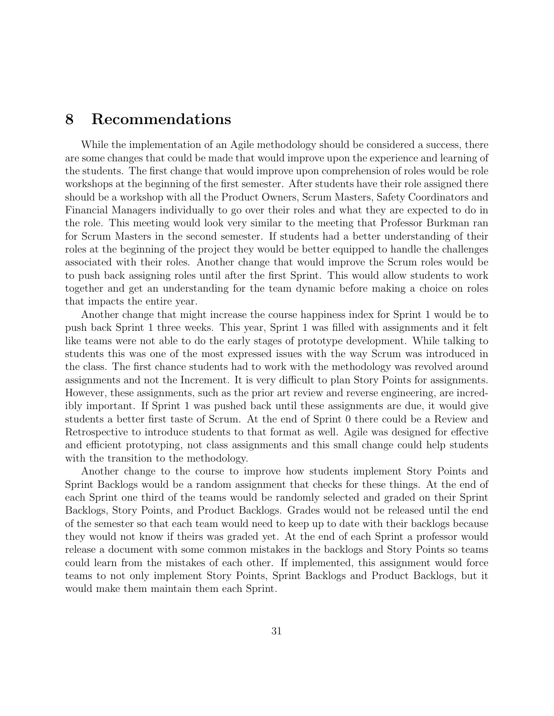### 8 Recommendations

While the implementation of an Agile methodology should be considered a success, there are some changes that could be made that would improve upon the experience and learning of the students. The first change that would improve upon comprehension of roles would be role workshops at the beginning of the first semester. After students have their role assigned there should be a workshop with all the Product Owners, Scrum Masters, Safety Coordinators and Financial Managers individually to go over their roles and what they are expected to do in the role. This meeting would look very similar to the meeting that Professor Burkman ran for Scrum Masters in the second semester. If students had a better understanding of their roles at the beginning of the project they would be better equipped to handle the challenges associated with their roles. Another change that would improve the Scrum roles would be to push back assigning roles until after the first Sprint. This would allow students to work together and get an understanding for the team dynamic before making a choice on roles that impacts the entire year.

Another change that might increase the course happiness index for Sprint 1 would be to push back Sprint 1 three weeks. This year, Sprint 1 was filled with assignments and it felt like teams were not able to do the early stages of prototype development. While talking to students this was one of the most expressed issues with the way Scrum was introduced in the class. The first chance students had to work with the methodology was revolved around assignments and not the Increment. It is very difficult to plan Story Points for assignments. However, these assignments, such as the prior art review and reverse engineering, are incredibly important. If Sprint 1 was pushed back until these assignments are due, it would give students a better first taste of Scrum. At the end of Sprint 0 there could be a Review and Retrospective to introduce students to that format as well. Agile was designed for effective and efficient prototyping, not class assignments and this small change could help students with the transition to the methodology.

Another change to the course to improve how students implement Story Points and Sprint Backlogs would be a random assignment that checks for these things. At the end of each Sprint one third of the teams would be randomly selected and graded on their Sprint Backlogs, Story Points, and Product Backlogs. Grades would not be released until the end of the semester so that each team would need to keep up to date with their backlogs because they would not know if theirs was graded yet. At the end of each Sprint a professor would release a document with some common mistakes in the backlogs and Story Points so teams could learn from the mistakes of each other. If implemented, this assignment would force teams to not only implement Story Points, Sprint Backlogs and Product Backlogs, but it would make them maintain them each Sprint.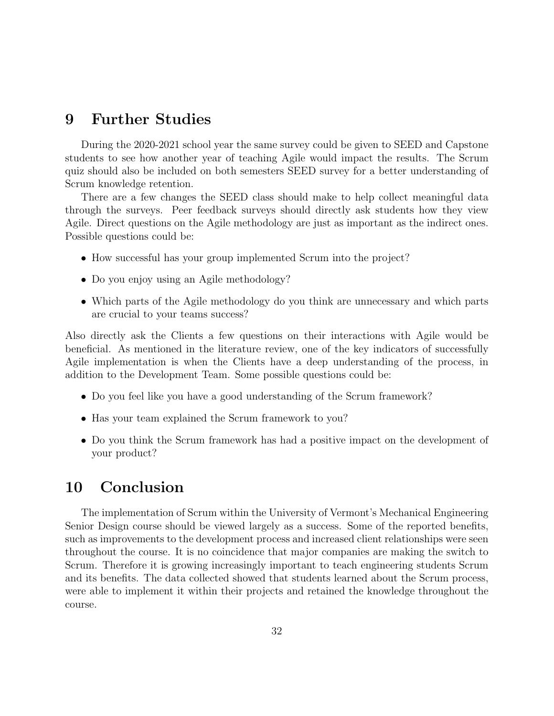### 9 Further Studies

During the 2020-2021 school year the same survey could be given to SEED and Capstone students to see how another year of teaching Agile would impact the results. The Scrum quiz should also be included on both semesters SEED survey for a better understanding of Scrum knowledge retention.

There are a few changes the SEED class should make to help collect meaningful data through the surveys. Peer feedback surveys should directly ask students how they view Agile. Direct questions on the Agile methodology are just as important as the indirect ones. Possible questions could be:

- How successful has your group implemented Scrum into the project?
- Do you enjoy using an Agile methodology?
- Which parts of the Agile methodology do you think are unnecessary and which parts are crucial to your teams success?

Also directly ask the Clients a few questions on their interactions with Agile would be beneficial. As mentioned in the literature review, one of the key indicators of successfully Agile implementation is when the Clients have a deep understanding of the process, in addition to the Development Team. Some possible questions could be:

- Do you feel like you have a good understanding of the Scrum framework?
- Has your team explained the Scrum framework to you?
- Do you think the Scrum framework has had a positive impact on the development of your product?

### 10 Conclusion

The implementation of Scrum within the University of Vermont's Mechanical Engineering Senior Design course should be viewed largely as a success. Some of the reported benefits, such as improvements to the development process and increased client relationships were seen throughout the course. It is no coincidence that major companies are making the switch to Scrum. Therefore it is growing increasingly important to teach engineering students Scrum and its benefits. The data collected showed that students learned about the Scrum process, were able to implement it within their projects and retained the knowledge throughout the course.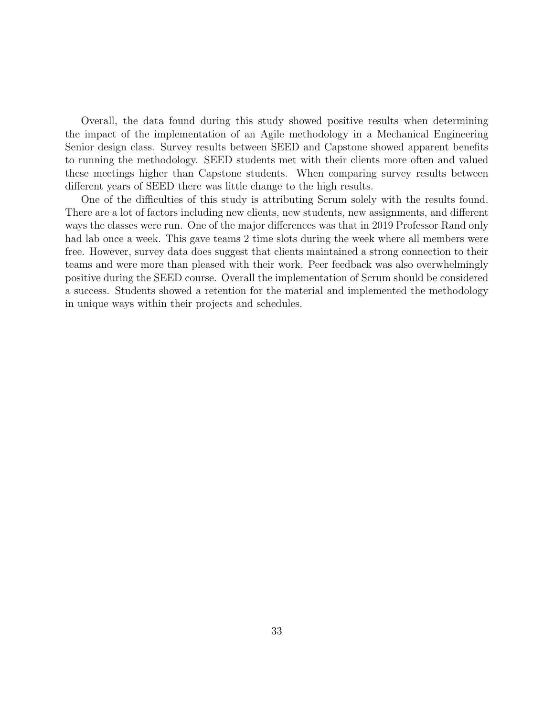Overall, the data found during this study showed positive results when determining the impact of the implementation of an Agile methodology in a Mechanical Engineering Senior design class. Survey results between SEED and Capstone showed apparent benefits to running the methodology. SEED students met with their clients more often and valued these meetings higher than Capstone students. When comparing survey results between different years of SEED there was little change to the high results.

One of the difficulties of this study is attributing Scrum solely with the results found. There are a lot of factors including new clients, new students, new assignments, and different ways the classes were run. One of the major differences was that in 2019 Professor Rand only had lab once a week. This gave teams 2 time slots during the week where all members were free. However, survey data does suggest that clients maintained a strong connection to their teams and were more than pleased with their work. Peer feedback was also overwhelmingly positive during the SEED course. Overall the implementation of Scrum should be considered a success. Students showed a retention for the material and implemented the methodology in unique ways within their projects and schedules.